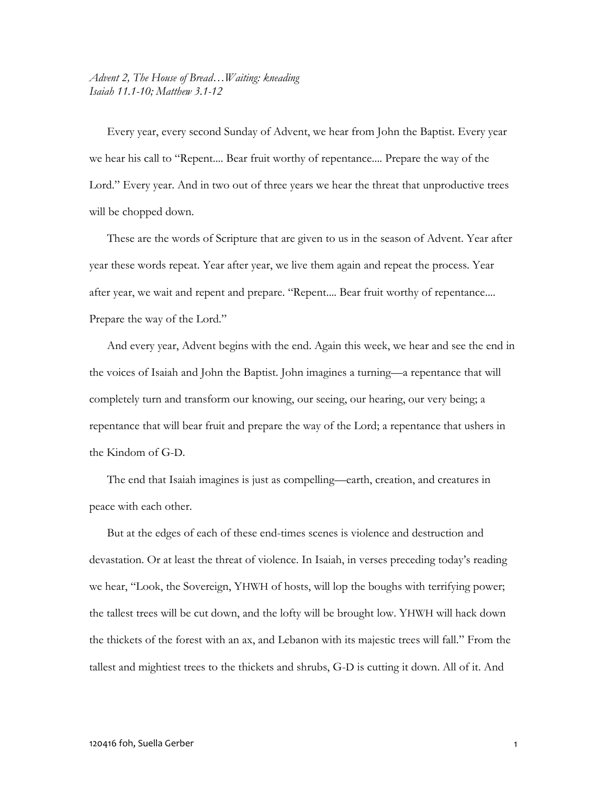*Advent 2, The House of Bread…Waiting: kneading Isaiah 11.1-10; Matthew 3.1-12*

Every year, every second Sunday of Advent, we hear from John the Baptist. Every year we hear his call to "Repent.... Bear fruit worthy of repentance.... Prepare the way of the Lord." Every year. And in two out of three years we hear the threat that unproductive trees will be chopped down.

These are the words of Scripture that are given to us in the season of Advent. Year after year these words repeat. Year after year, we live them again and repeat the process. Year after year, we wait and repent and prepare. "Repent.... Bear fruit worthy of repentance.... Prepare the way of the Lord."

And every year, Advent begins with the end. Again this week, we hear and see the end in the voices of Isaiah and John the Baptist. John imagines a turning—a repentance that will completely turn and transform our knowing, our seeing, our hearing, our very being; a repentance that will bear fruit and prepare the way of the Lord; a repentance that ushers in the Kindom of G-D.

The end that Isaiah imagines is just as compelling—earth, creation, and creatures in peace with each other.

But at the edges of each of these end-times scenes is violence and destruction and devastation. Or at least the threat of violence. In Isaiah, in verses preceding today's reading we hear, "Look, the Sovereign, YHWH of hosts, will lop the boughs with terrifying power; the tallest trees will be cut down, and the lofty will be brought low. YHWH will hack down the thickets of the forest with an ax, and Lebanon with its majestic trees will fall." From the tallest and mightiest trees to the thickets and shrubs, G-D is cutting it down. All of it. And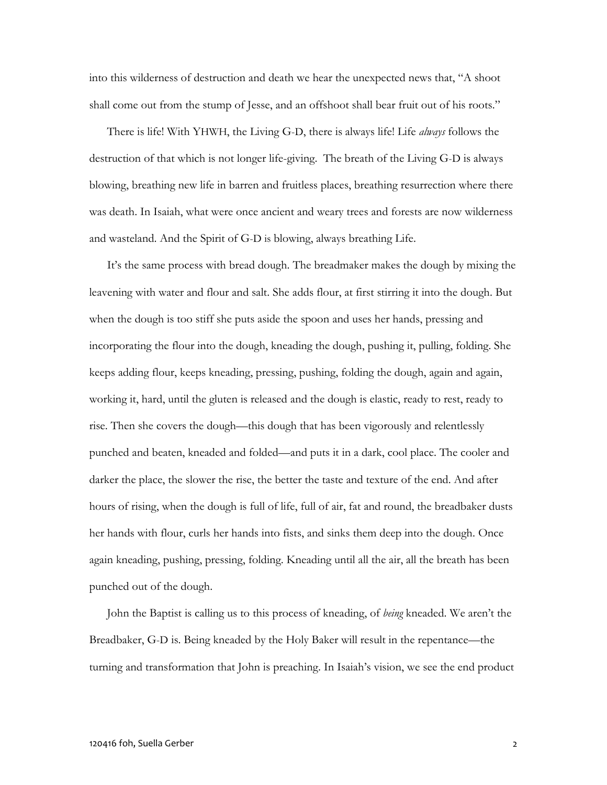into this wilderness of destruction and death we hear the unexpected news that, "A shoot shall come out from the stump of Jesse, and an offshoot shall bear fruit out of his roots."

There is life! With YHWH, the Living G-D, there is always life! Life *always* follows the destruction of that which is not longer life-giving. The breath of the Living G-D is always blowing, breathing new life in barren and fruitless places, breathing resurrection where there was death. In Isaiah, what were once ancient and weary trees and forests are now wilderness and wasteland. And the Spirit of G-D is blowing, always breathing Life.

It's the same process with bread dough. The breadmaker makes the dough by mixing the leavening with water and flour and salt. She adds flour, at first stirring it into the dough. But when the dough is too stiff she puts aside the spoon and uses her hands, pressing and incorporating the flour into the dough, kneading the dough, pushing it, pulling, folding. She keeps adding flour, keeps kneading, pressing, pushing, folding the dough, again and again, working it, hard, until the gluten is released and the dough is elastic, ready to rest, ready to rise. Then she covers the dough—this dough that has been vigorously and relentlessly punched and beaten, kneaded and folded—and puts it in a dark, cool place. The cooler and darker the place, the slower the rise, the better the taste and texture of the end. And after hours of rising, when the dough is full of life, full of air, fat and round, the breadbaker dusts her hands with flour, curls her hands into fists, and sinks them deep into the dough. Once again kneading, pushing, pressing, folding. Kneading until all the air, all the breath has been punched out of the dough.

John the Baptist is calling us to this process of kneading, of *being* kneaded. We aren't the Breadbaker, G-D is. Being kneaded by the Holy Baker will result in the repentance—the turning and transformation that John is preaching. In Isaiah's vision, we see the end product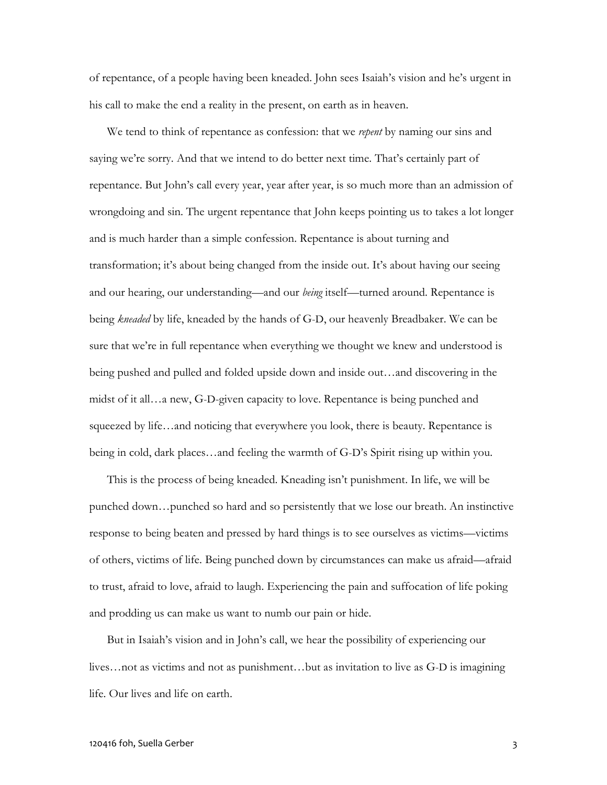of repentance, of a people having been kneaded. John sees Isaiah's vision and he's urgent in his call to make the end a reality in the present, on earth as in heaven.

We tend to think of repentance as confession: that we *repent* by naming our sins and saying we're sorry. And that we intend to do better next time. That's certainly part of repentance. But John's call every year, year after year, is so much more than an admission of wrongdoing and sin. The urgent repentance that John keeps pointing us to takes a lot longer and is much harder than a simple confession. Repentance is about turning and transformation; it's about being changed from the inside out. It's about having our seeing and our hearing, our understanding—and our *being* itself—turned around. Repentance is being *kneaded* by life, kneaded by the hands of G-D, our heavenly Breadbaker. We can be sure that we're in full repentance when everything we thought we knew and understood is being pushed and pulled and folded upside down and inside out…and discovering in the midst of it all…a new, G-D-given capacity to love. Repentance is being punched and squeezed by life...and noticing that everywhere you look, there is beauty. Repentance is being in cold, dark places…and feeling the warmth of G-D's Spirit rising up within you.

This is the process of being kneaded. Kneading isn't punishment. In life, we will be punched down…punched so hard and so persistently that we lose our breath. An instinctive response to being beaten and pressed by hard things is to see ourselves as victims—victims of others, victims of life. Being punched down by circumstances can make us afraid—afraid to trust, afraid to love, afraid to laugh. Experiencing the pain and suffocation of life poking and prodding us can make us want to numb our pain or hide.

But in Isaiah's vision and in John's call, we hear the possibility of experiencing our lives…not as victims and not as punishment…but as invitation to live as G-D is imagining life. Our lives and life on earth.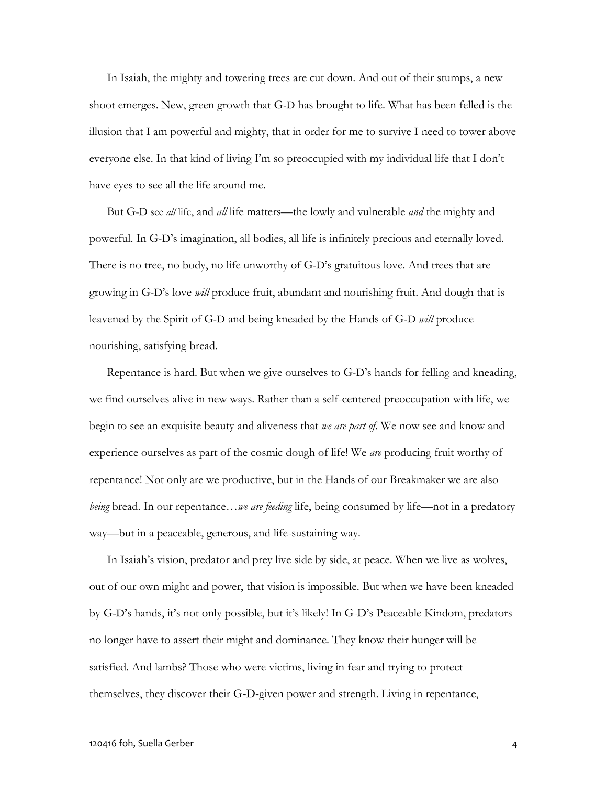In Isaiah, the mighty and towering trees are cut down. And out of their stumps, a new shoot emerges. New, green growth that G-D has brought to life. What has been felled is the illusion that I am powerful and mighty, that in order for me to survive I need to tower above everyone else. In that kind of living I'm so preoccupied with my individual life that I don't have eyes to see all the life around me.

But G-D see *all* life, and *all* life matters—the lowly and vulnerable *and* the mighty and powerful. In G-D's imagination, all bodies, all life is infinitely precious and eternally loved. There is no tree, no body, no life unworthy of G-D's gratuitous love. And trees that are growing in G-D's love *will* produce fruit, abundant and nourishing fruit. And dough that is leavened by the Spirit of G-D and being kneaded by the Hands of G-D *will* produce nourishing, satisfying bread.

Repentance is hard. But when we give ourselves to G-D's hands for felling and kneading, we find ourselves alive in new ways. Rather than a self-centered preoccupation with life, we begin to see an exquisite beauty and aliveness that *we are part of*. We now see and know and experience ourselves as part of the cosmic dough of life! We *are* producing fruit worthy of repentance! Not only are we productive, but in the Hands of our Breakmaker we are also *being* bread. In our repentance…*we are feeding* life, being consumed by life—not in a predatory way—but in a peaceable, generous, and life-sustaining way.

In Isaiah's vision, predator and prey live side by side, at peace. When we live as wolves, out of our own might and power, that vision is impossible. But when we have been kneaded by G-D's hands, it's not only possible, but it's likely! In G-D's Peaceable Kindom, predators no longer have to assert their might and dominance. They know their hunger will be satisfied. And lambs? Those who were victims, living in fear and trying to protect themselves, they discover their G-D-given power and strength. Living in repentance,